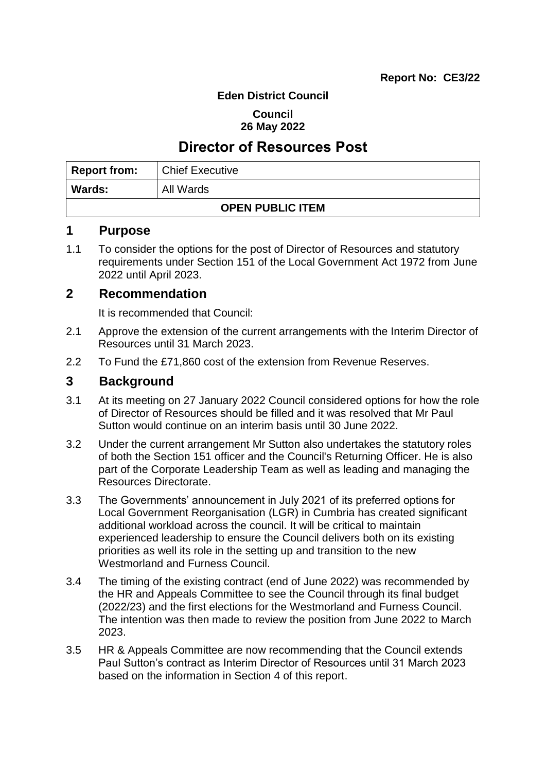#### **Eden District Council**

#### **Council 26 May 2022**

# **Director of Resources Post**

| <b>Report from:</b>     | Chief Executive |  |
|-------------------------|-----------------|--|
| <b>Wards:</b>           | All Wards       |  |
| <b>OPEN PUBLIC ITEM</b> |                 |  |

# **1 Purpose**

1.1 To consider the options for the post of Director of Resources and statutory requirements under Section 151 of the Local Government Act 1972 from June 2022 until April 2023.

## **2 Recommendation**

It is recommended that Council:

- 2.1 Approve the extension of the current arrangements with the Interim Director of Resources until 31 March 2023.
- 2.2 To Fund the £71,860 cost of the extension from Revenue Reserves.

# **3 Background**

- 3.1 At its meeting on 27 January 2022 Council considered options for how the role of Director of Resources should be filled and it was resolved that Mr Paul Sutton would continue on an interim basis until 30 June 2022.
- 3.2 Under the current arrangement Mr Sutton also undertakes the statutory roles of both the Section 151 officer and the Council's Returning Officer. He is also part of the Corporate Leadership Team as well as leading and managing the Resources Directorate.
- 3.3 The Governments' announcement in July 2021 of its preferred options for Local Government Reorganisation (LGR) in Cumbria has created significant additional workload across the council. It will be critical to maintain experienced leadership to ensure the Council delivers both on its existing priorities as well its role in the setting up and transition to the new Westmorland and Furness Council.
- 3.4 The timing of the existing contract (end of June 2022) was recommended by the HR and Appeals Committee to see the Council through its final budget (2022/23) and the first elections for the Westmorland and Furness Council. The intention was then made to review the position from June 2022 to March 2023.
- 3.5 HR & Appeals Committee are now recommending that the Council extends Paul Sutton's contract as Interim Director of Resources until 31 March 2023 based on the information in Section 4 of this report.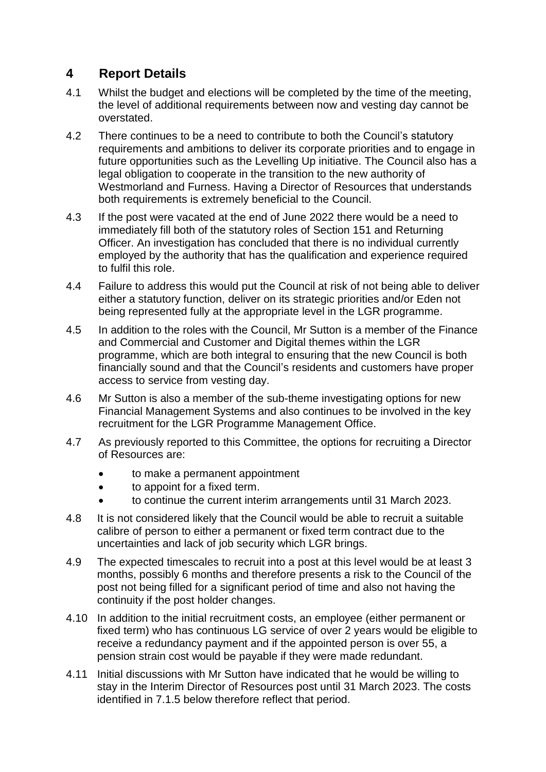# **4 Report Details**

- 4.1 Whilst the budget and elections will be completed by the time of the meeting, the level of additional requirements between now and vesting day cannot be overstated.
- 4.2 There continues to be a need to contribute to both the Council's statutory requirements and ambitions to deliver its corporate priorities and to engage in future opportunities such as the Levelling Up initiative. The Council also has a legal obligation to cooperate in the transition to the new authority of Westmorland and Furness. Having a Director of Resources that understands both requirements is extremely beneficial to the Council.
- 4.3 If the post were vacated at the end of June 2022 there would be a need to immediately fill both of the statutory roles of Section 151 and Returning Officer. An investigation has concluded that there is no individual currently employed by the authority that has the qualification and experience required to fulfil this role.
- 4.4 Failure to address this would put the Council at risk of not being able to deliver either a statutory function, deliver on its strategic priorities and/or Eden not being represented fully at the appropriate level in the LGR programme.
- 4.5 In addition to the roles with the Council, Mr Sutton is a member of the Finance and Commercial and Customer and Digital themes within the LGR programme, which are both integral to ensuring that the new Council is both financially sound and that the Council's residents and customers have proper access to service from vesting day.
- 4.6 Mr Sutton is also a member of the sub-theme investigating options for new Financial Management Systems and also continues to be involved in the key recruitment for the LGR Programme Management Office.
- 4.7 As previously reported to this Committee, the options for recruiting a Director of Resources are:
	- to make a permanent appointment
	- to appoint for a fixed term.
	- to continue the current interim arrangements until 31 March 2023.
- 4.8 It is not considered likely that the Council would be able to recruit a suitable calibre of person to either a permanent or fixed term contract due to the uncertainties and lack of job security which LGR brings.
- 4.9 The expected timescales to recruit into a post at this level would be at least 3 months, possibly 6 months and therefore presents a risk to the Council of the post not being filled for a significant period of time and also not having the continuity if the post holder changes.
- 4.10 In addition to the initial recruitment costs, an employee (either permanent or fixed term) who has continuous LG service of over 2 years would be eligible to receive a redundancy payment and if the appointed person is over 55, a pension strain cost would be payable if they were made redundant.
- 4.11 Initial discussions with Mr Sutton have indicated that he would be willing to stay in the Interim Director of Resources post until 31 March 2023. The costs identified in 7.1.5 below therefore reflect that period.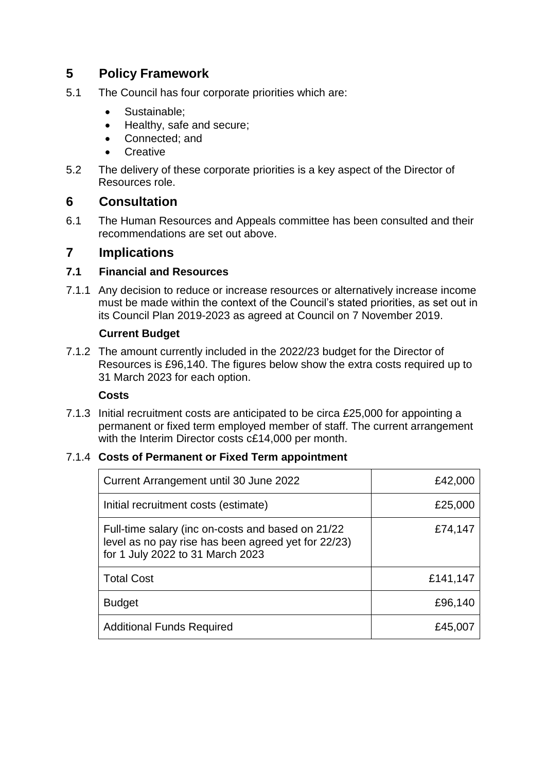# **5 Policy Framework**

- 5.1 The Council has four corporate priorities which are:
	- Sustainable:
	- Healthy, safe and secure;
	- Connected: and
	- **Creative**
- 5.2 The delivery of these corporate priorities is a key aspect of the Director of Resources role.

# **6 Consultation**

6.1 The Human Resources and Appeals committee has been consulted and their recommendations are set out above.

# **7 Implications**

## **7.1 Financial and Resources**

7.1.1 Any decision to reduce or increase resources or alternatively increase income must be made within the context of the Council's stated priorities, as set out in its Council Plan 2019-2023 as agreed at Council on 7 November 2019.

## **Current Budget**

7.1.2 The amount currently included in the 2022/23 budget for the Director of Resources is £96,140. The figures below show the extra costs required up to 31 March 2023 for each option.

#### **Costs**

7.1.3 Initial recruitment costs are anticipated to be circa £25,000 for appointing a permanent or fixed term employed member of staff. The current arrangement with the Interim Director costs c£14,000 per month.

# 7.1.4 **Costs of Permanent or Fixed Term appointment**

| Current Arrangement until 30 June 2022                                                                                                       | £42,000  |
|----------------------------------------------------------------------------------------------------------------------------------------------|----------|
| Initial recruitment costs (estimate)                                                                                                         | £25,000  |
| Full-time salary (inc on-costs and based on 21/22<br>level as no pay rise has been agreed yet for 22/23)<br>for 1 July 2022 to 31 March 2023 | £74,147  |
| <b>Total Cost</b>                                                                                                                            | £141,147 |
| <b>Budget</b>                                                                                                                                | £96,140  |
| <b>Additional Funds Required</b>                                                                                                             | £45,007  |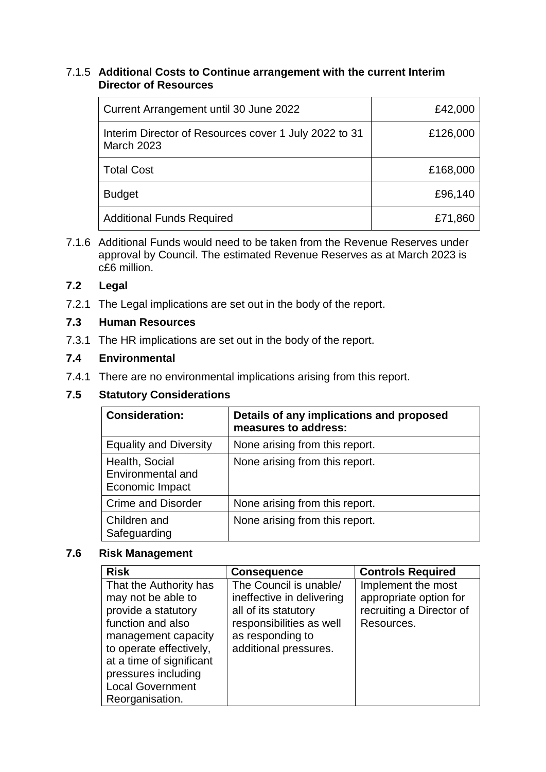#### 7.1.5 **Additional Costs to Continue arrangement with the current Interim Director of Resources**

| Current Arrangement until 30 June 2022                                     | £42,000  |
|----------------------------------------------------------------------------|----------|
| Interim Director of Resources cover 1 July 2022 to 31<br><b>March 2023</b> | £126,000 |
| <b>Total Cost</b>                                                          | £168,000 |
| <b>Budget</b>                                                              | £96,140  |
| <b>Additional Funds Required</b>                                           | £71,860  |

7.1.6 Additional Funds would need to be taken from the Revenue Reserves under approval by Council. The estimated Revenue Reserves as at March 2023 is c£6 million.

## **7.2 Legal**

7.2.1 The Legal implications are set out in the body of the report.

## **7.3 Human Resources**

7.3.1 The HR implications are set out in the body of the report.

## **7.4 Environmental**

7.4.1 There are no environmental implications arising from this report.

## **7.5 Statutory Considerations**

| <b>Consideration:</b>                                  | Details of any implications and proposed<br>measures to address: |
|--------------------------------------------------------|------------------------------------------------------------------|
| <b>Equality and Diversity</b>                          | None arising from this report.                                   |
| Health, Social<br>Environmental and<br>Economic Impact | None arising from this report.                                   |
| <b>Crime and Disorder</b>                              | None arising from this report.                                   |
| Children and<br>Safeguarding                           | None arising from this report.                                   |

#### **7.6 Risk Management**

| <b>Risk</b>                                                                                                                                                                                                                                 | <b>Consequence</b>                                                                                                                                   | <b>Controls Required</b>                                                               |
|---------------------------------------------------------------------------------------------------------------------------------------------------------------------------------------------------------------------------------------------|------------------------------------------------------------------------------------------------------------------------------------------------------|----------------------------------------------------------------------------------------|
| That the Authority has<br>may not be able to<br>provide a statutory<br>function and also<br>management capacity<br>to operate effectively,<br>at a time of significant<br>pressures including<br><b>Local Government</b><br>Reorganisation. | The Council is unable/<br>ineffective in delivering<br>all of its statutory<br>responsibilities as well<br>as responding to<br>additional pressures. | Implement the most<br>appropriate option for<br>recruiting a Director of<br>Resources. |